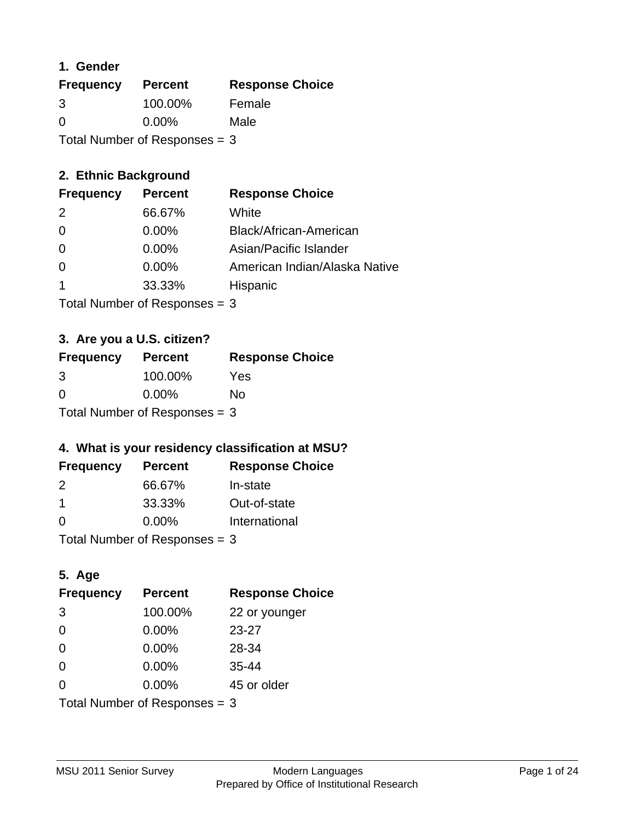### **1. Gender**

| <b>Frequency</b>                | <b>Percent</b> | <b>Response Choice</b> |
|---------------------------------|----------------|------------------------|
| 3                               | 100.00%        | Female                 |
| $\Omega$                        | $0.00\%$       | Male                   |
| Total Number of Responses = $3$ |                |                        |

## **2. Ethnic Background**

| <b>Frequency</b> | <b>Percent</b> | <b>Response Choice</b>        |
|------------------|----------------|-------------------------------|
| 2                | 66.67%         | White                         |
| $\Omega$         | $0.00\%$       | Black/African-American        |
| $\Omega$         | $0.00\%$       | Asian/Pacific Islander        |
|                  | 0.00%          | American Indian/Alaska Native |
|                  | 33.33%         | Hispanic                      |
|                  |                |                               |

Total Number of Responses = 3

## **3. Are you a U.S. citizen?**

| <b>Frequency</b>                | <b>Percent</b> | <b>Response Choice</b> |
|---------------------------------|----------------|------------------------|
| 3                               | 100.00%        | Yes                    |
| $\Omega$                        | $0.00\%$       | No                     |
| Total Number of Responses $=$ 3 |                |                        |

## **4. What is your residency classification at MSU?**

| <b>Frequency</b> | <b>Percent</b> | <b>Response Choice</b> |
|------------------|----------------|------------------------|
| 2                | 66.67%         | In-state               |
| -1               | 33.33%         | Out-of-state           |
| - 0              | $0.00\%$       | International          |
|                  |                |                        |

Total Number of Responses = 3

## **5. Age**

| <b>Frequency</b>                | <b>Percent</b> | <b>Response Choice</b> |
|---------------------------------|----------------|------------------------|
| 3                               | 100.00%        | 22 or younger          |
| $\Omega$                        | 0.00%          | $23 - 27$              |
| $\Omega$                        | 0.00%          | 28-34                  |
| $\Omega$                        | 0.00%          | $35 - 44$              |
| $\Omega$                        | 0.00%          | 45 or older            |
| Total Number of Responses $=$ 3 |                |                        |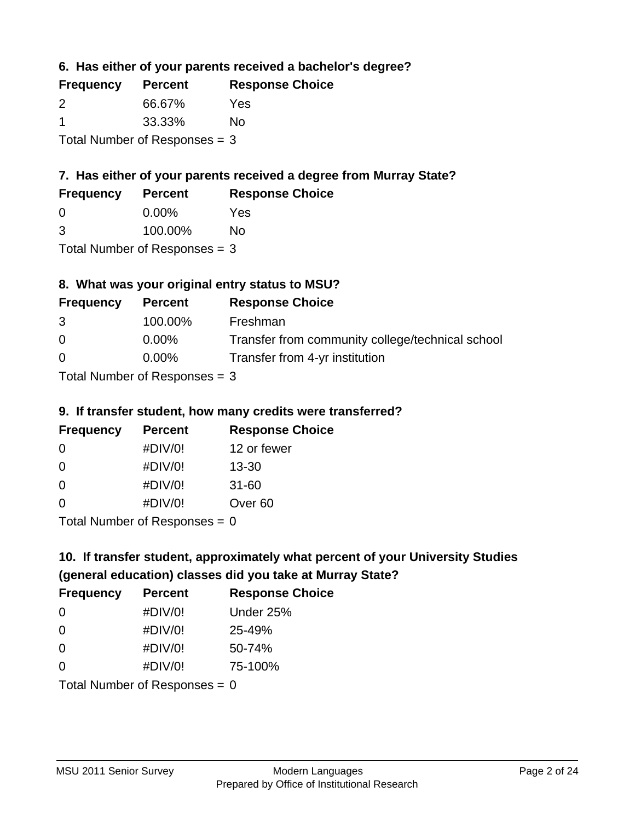**6. Has either of your parents received a bachelor's degree?**

| <b>Frequency</b> | <b>Percent</b>                  | <b>Response Choice</b> |
|------------------|---------------------------------|------------------------|
| $\mathcal{P}$    | 66.67%                          | Yes                    |
|                  | 33.33%                          | No                     |
|                  | Total Number of Responses $=$ 3 |                        |

## **7. Has either of your parents received a degree from Murray State?**

| <b>Frequency</b> | <b>Percent</b> | <b>Response Choice</b> |
|------------------|----------------|------------------------|
| <u>_0</u>        | $0.00\%$       | Yes                    |

| 3 | 100.00% | <b>No</b> |
|---|---------|-----------|
|   |         |           |

Total Number of Responses = 3

## **8. What was your original entry status to MSU?**

| <b>Frequency</b> | <b>Percent</b>             | <b>Response Choice</b>                           |
|------------------|----------------------------|--------------------------------------------------|
| 3                | 100.00%                    | Freshman                                         |
| $\Omega$         | $0.00\%$                   | Transfer from community college/technical school |
| $\Omega$         | $0.00\%$                   | Transfer from 4-yr institution                   |
|                  | Tatal Number of Desperance |                                                  |

Total Number of Responses = 3

### **9. If transfer student, how many credits were transferred?**

| <b>Frequency</b>           | <b>Percent</b> | <b>Response Choice</b> |
|----------------------------|----------------|------------------------|
| -0                         | #DIV/0!        | 12 or fewer            |
| 0                          | #DIV/0!        | $13 - 30$              |
| 0                          | #DIV/0!        | $31 - 60$              |
| $\Omega$                   | #DIV/0!        | Over <sub>60</sub>     |
| Tatal Number of Desperance |                |                        |

Total Number of Responses = 0

# **10. If transfer student, approximately what percent of your University Studies (general education) classes did you take at Murray State?**

| <b>Frequency</b>                | <b>Percent</b> | <b>Response Choice</b> |
|---------------------------------|----------------|------------------------|
| $\Omega$                        | #DIV/0!        | Under 25%              |
| $\overline{0}$                  | #DIV/0!        | 25-49%                 |
| $\Omega$                        | #DIV/0!        | 50-74%                 |
| $\Omega$                        | #DIV/0!        | 75-100%                |
| Total Number of Responses = $0$ |                |                        |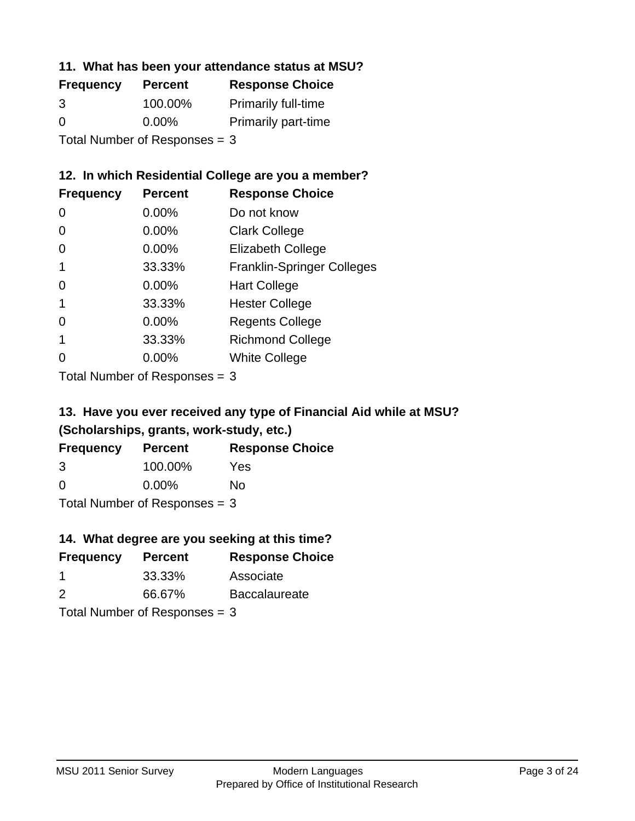### **11. What has been your attendance status at MSU?**

| <b>Frequency</b> | <b>Percent</b>                | <b>Response Choice</b>     |
|------------------|-------------------------------|----------------------------|
| 3                | 100.00%                       | <b>Primarily full-time</b> |
| $\Omega$         | $0.00\%$                      | <b>Primarily part-time</b> |
|                  | Total Number of Responses = 3 |                            |

### **12. In which Residential College are you a member?**

| <b>Frequency</b> | <b>Percent</b> | <b>Response Choice</b>            |
|------------------|----------------|-----------------------------------|
| 0                | 0.00%          | Do not know                       |
| 0                | 0.00%          | <b>Clark College</b>              |
| 0                | 0.00%          | <b>Elizabeth College</b>          |
|                  | 33.33%         | <b>Franklin-Springer Colleges</b> |
| 0                | $0.00\%$       | <b>Hart College</b>               |
| 1                | 33.33%         | <b>Hester College</b>             |
| 0                | $0.00\%$       | <b>Regents College</b>            |
|                  | 33.33%         | <b>Richmond College</b>           |
|                  | $0.00\%$       | <b>White College</b>              |
|                  |                |                                   |

Total Number of Responses = 3

## **13. Have you ever received any type of Financial Aid while at MSU? (Scholarships, grants, work-study, etc.)**

| <b>Frequency</b>                | <b>Percent</b> | <b>Response Choice</b> |
|---------------------------------|----------------|------------------------|
| 3                               | 100.00%        | Yes                    |
| $\Omega$                        | $0.00\%$       | No                     |
| Total Number of Responses $=$ 3 |                |                        |

**14. What degree are you seeking at this time?**

| <b>Frequency</b> | <b>Percent</b>                  | <b>Response Choice</b> |
|------------------|---------------------------------|------------------------|
| -1               | 33.33%                          | Associate              |
| $\mathcal{P}$    | 66.67%                          | <b>Baccalaureate</b>   |
|                  | Total Number of Responses $=$ 3 |                        |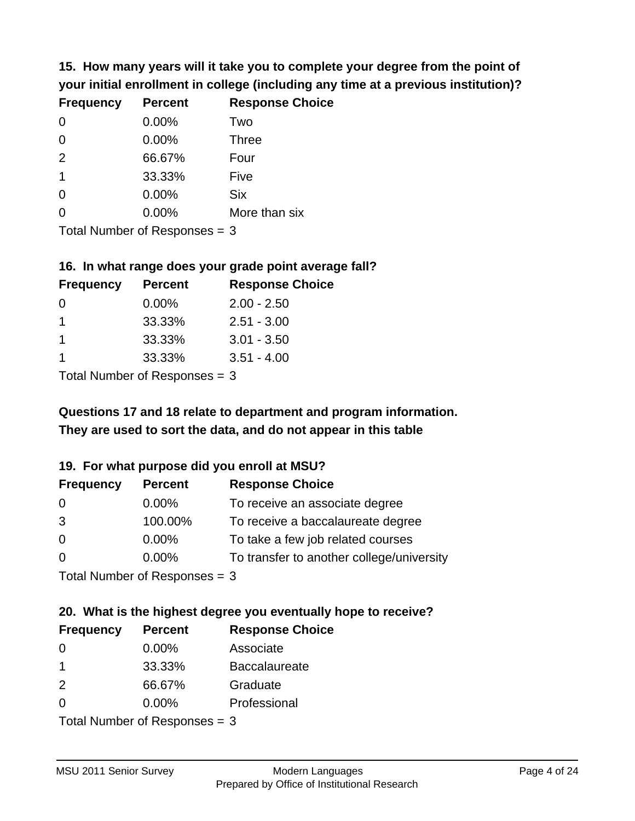**15. How many years will it take you to complete your degree from the point of your initial enrollment in college (including any time at a previous institution)?**

| <b>Frequency</b> | <b>Percent</b> | <b>Response Choice</b> |
|------------------|----------------|------------------------|
| $\Omega$         | 0.00%          | Two                    |
| $\Omega$         | 0.00%          | <b>Three</b>           |
| 2                | 66.67%         | Four                   |
| $\mathbf 1$      | 33.33%         | Five                   |
| $\Omega$         | 0.00%          | <b>Six</b>             |
| 0                | 0.00%          | More than six          |
|                  |                |                        |

Total Number of Responses = 3

#### **16. In what range does your grade point average fall?**

| <b>Frequency</b> | <b>Percent</b> | <b>Response Choice</b> |
|------------------|----------------|------------------------|
| 0                | $0.00\%$       | $2.00 - 2.50$          |
|                  | 33.33%         | $2.51 - 3.00$          |
|                  | 33.33%         | $3.01 - 3.50$          |
|                  | 33.33%         | $3.51 - 4.00$          |
|                  |                |                        |

Total Number of Responses = 3

## **They are used to sort the data, and do not appear in this table Questions 17 and 18 relate to department and program information.**

### **19. For what purpose did you enroll at MSU?**

| <b>Frequency</b>            | <b>Percent</b> | <b>Response Choice</b>                    |
|-----------------------------|----------------|-------------------------------------------|
| 0                           | $0.00\%$       | To receive an associate degree            |
| 3                           | 100.00%        | To receive a baccalaureate degree         |
| $\overline{0}$              | $0.00\%$       | To take a few job related courses         |
| $\Omega$                    | 0.00%          | To transfer to another college/university |
| Total Number of Despasses 2 |                |                                           |

Total Number of Responses = 3

# **20. What is the highest degree you eventually hope to receive?**

| <b>Frequency</b> | <b>Percent</b>             | <b>Response Choice</b> |
|------------------|----------------------------|------------------------|
| 0                | $0.00\%$                   | Associate              |
| 1                | 33.33%                     | <b>Baccalaureate</b>   |
| 2                | 66.67%                     | Graduate               |
| $\Omega$         | $0.00\%$                   | Professional           |
|                  | Total Number of Deepersoon |                        |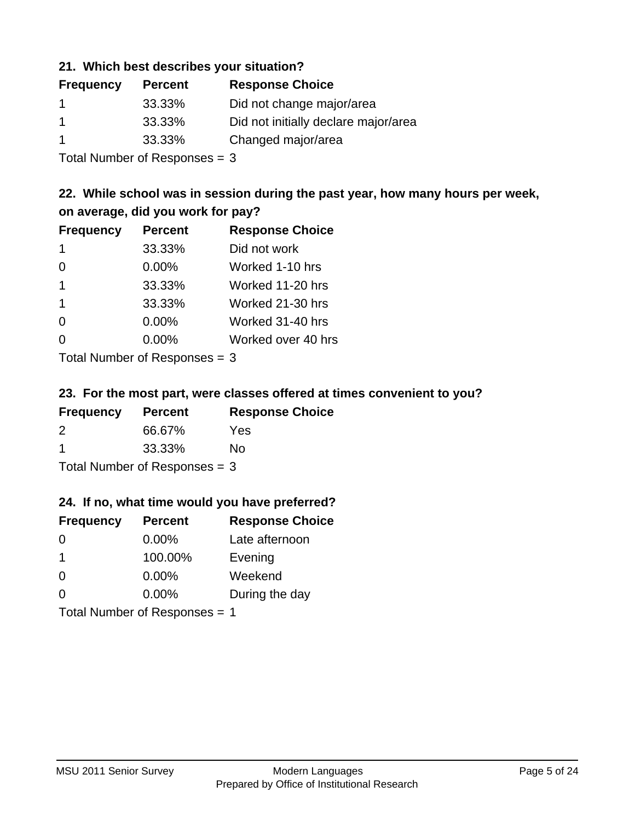### **21. Which best describes your situation?**

| <b>Frequency</b> | <b>Percent</b> | <b>Response Choice</b>               |
|------------------|----------------|--------------------------------------|
|                  | 33.33%         | Did not change major/area            |
|                  | 33.33%         | Did not initially declare major/area |
|                  | 33.33%         | Changed major/area                   |

Total Number of Responses = 3

### **22. While school was in session during the past year, how many hours per week, on average, did you work for pay?**

| <b>Frequency</b> | <b>Percent</b> | <b>Response Choice</b> |
|------------------|----------------|------------------------|
| -1               | 33.33%         | Did not work           |
| $\Omega$         | 0.00%          | Worked 1-10 hrs        |
| $\mathbf 1$      | 33.33%         | Worked 11-20 hrs       |
| $\overline{1}$   | 33.33%         | Worked 21-30 hrs       |
| $\Omega$         | 0.00%          | Worked 31-40 hrs       |
| $\Omega$         | 0.00%          | Worked over 40 hrs     |
|                  |                |                        |

Total Number of Responses = 3

### **23. For the most part, were classes offered at times convenient to you?**

| <b>Frequency</b>                | <b>Percent</b> | <b>Response Choice</b> |
|---------------------------------|----------------|------------------------|
| $\mathcal{P}$                   | 66.67%         | Yes                    |
| -1                              | 33.33%         | Nο                     |
| Total Number of Responses $=$ 3 |                |                        |

### **24. If no, what time would you have preferred?**

| <b>Frequency</b> | <b>Percent</b>                | <b>Response Choice</b> |
|------------------|-------------------------------|------------------------|
| $\Omega$         | $0.00\%$                      | Late afternoon         |
| $\mathbf 1$      | 100.00%                       | Evening                |
| $\Omega$         | $0.00\%$                      | Weekend                |
| $\Omega$         | $0.00\%$                      | During the day         |
|                  | Total Number of Responses = 1 |                        |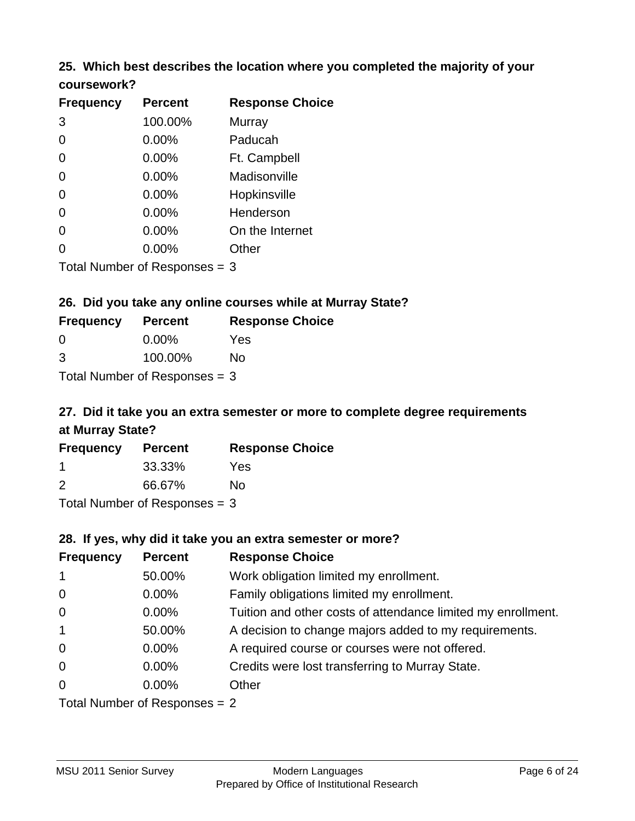### **25. Which best describes the location where you completed the majority of your coursework?**

| <b>Frequency</b>           | <b>Percent</b> | <b>Response Choice</b> |
|----------------------------|----------------|------------------------|
| 3                          | 100.00%        | <b>Murray</b>          |
| $\overline{0}$             | 0.00%          | Paducah                |
| 0                          | 0.00%          | Ft. Campbell           |
| $\overline{0}$             | 0.00%          | Madisonville           |
| $\Omega$                   | 0.00%          | Hopkinsville           |
| 0                          | 0.00%          | Henderson              |
| 0                          | 0.00%          | On the Internet        |
| 0                          | 0.00%          | Other                  |
| Tetal Number of Desperance |                | ⌒                      |

Total Number of Responses = 3

### **26. Did you take any online courses while at Murray State?**

| <b>Frequency</b>                | <b>Percent</b> | <b>Response Choice</b> |  |  |
|---------------------------------|----------------|------------------------|--|--|
| - 0                             | $0.00\%$       | Yes                    |  |  |
| 3                               | 100.00%        | No                     |  |  |
| Total Number of Responses $=$ 3 |                |                        |  |  |

## **27. Did it take you an extra semester or more to complete degree requirements at Murray State?**

| <b>Frequency</b> | <b>Percent</b>            | <b>Response Choice</b> |
|------------------|---------------------------|------------------------|
|                  | 33.33%                    | Yes                    |
| 2                | 66.67%                    | No                     |
|                  | Total Number of Deepensee |                        |

Total Number of Responses = 3

### **28. If yes, why did it take you an extra semester or more?**

| <b>Frequency</b> | <b>Percent</b>                  | <b>Response Choice</b>                                       |
|------------------|---------------------------------|--------------------------------------------------------------|
| $\mathbf{1}$     | 50.00%                          | Work obligation limited my enrollment.                       |
| $\mathbf 0$      | $0.00\%$                        | Family obligations limited my enrollment.                    |
| $\mathbf 0$      | $0.00\%$                        | Tuition and other costs of attendance limited my enrollment. |
| $\mathbf{1}$     | 50.00%                          | A decision to change majors added to my requirements.        |
| $\mathbf 0$      | $0.00\%$                        | A required course or courses were not offered.               |
| $\overline{0}$   | $0.00\%$                        | Credits were lost transferring to Murray State.              |
| $\Omega$         | $0.00\%$                        | Other                                                        |
|                  | Total Number of Responses $= 2$ |                                                              |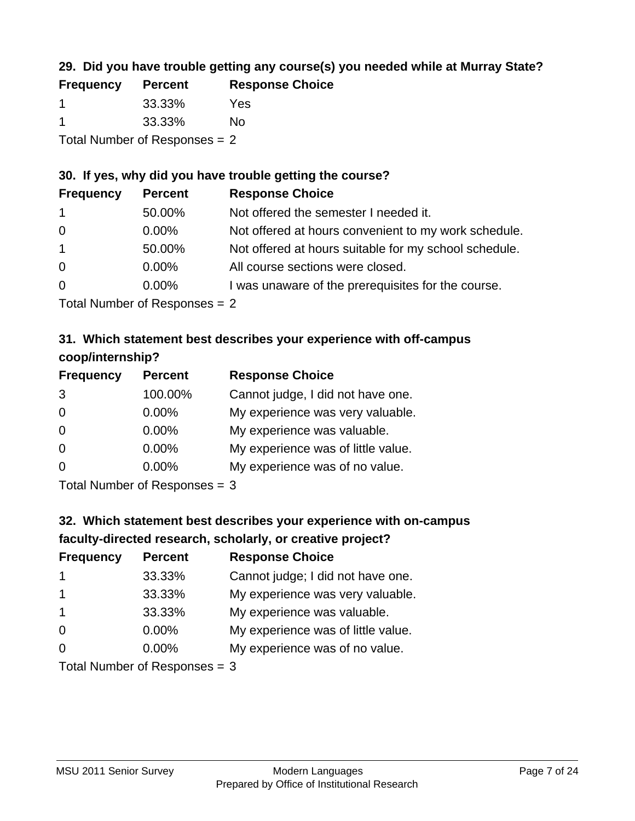## **29. Did you have trouble getting any course(s) you needed while at Murray State?**

| <b>Frequency</b>                | <b>Percent</b> | <b>Response Choice</b> |  |  |
|---------------------------------|----------------|------------------------|--|--|
|                                 | 33.33%         | Yes                    |  |  |
| -1                              | 33.33%         | Nο                     |  |  |
| Total Number of Responses $= 2$ |                |                        |  |  |

### **30. If yes, why did you have trouble getting the course?**

| <b>Frequency</b> | <b>Percent</b> | <b>Response Choice</b>                                |
|------------------|----------------|-------------------------------------------------------|
| $\overline{1}$   | 50.00%         | Not offered the semester I needed it.                 |
| $\overline{0}$   | $0.00\%$       | Not offered at hours convenient to my work schedule.  |
| $\overline{1}$   | 50.00%         | Not offered at hours suitable for my school schedule. |
| $\overline{0}$   | $0.00\%$       | All course sections were closed.                      |
| $\overline{0}$   | $0.00\%$       | I was unaware of the prerequisites for the course.    |
|                  |                |                                                       |

Total Number of Responses = 2

## **31. Which statement best describes your experience with off-campus coop/internship?**

| <b>Frequency</b> | <b>Percent</b>               | <b>Response Choice</b>             |
|------------------|------------------------------|------------------------------------|
| 3                | 100.00%                      | Cannot judge, I did not have one.  |
| $\Omega$         | 0.00%                        | My experience was very valuable.   |
| $\Omega$         | $0.00\%$                     | My experience was valuable.        |
| $\Omega$         | 0.00%                        | My experience was of little value. |
| $\Omega$         | 0.00%                        | My experience was of no value.     |
|                  | $T$ and Number of Decomposed |                                    |

Total Number of Responses = 3

# **32. Which statement best describes your experience with on-campus faculty-directed research, scholarly, or creative project?**

| <b>Frequency</b>        | <b>Percent</b>             | <b>Response Choice</b>             |
|-------------------------|----------------------------|------------------------------------|
| $\mathbf 1$             | 33.33%                     | Cannot judge; I did not have one.  |
| $\overline{\mathbf{1}}$ | 33.33%                     | My experience was very valuable.   |
| $\mathbf 1$             | 33.33%                     | My experience was valuable.        |
| $\Omega$                | $0.00\%$                   | My experience was of little value. |
| $\Omega$                | $0.00\%$                   | My experience was of no value.     |
|                         | Tatal Number of Desperance |                                    |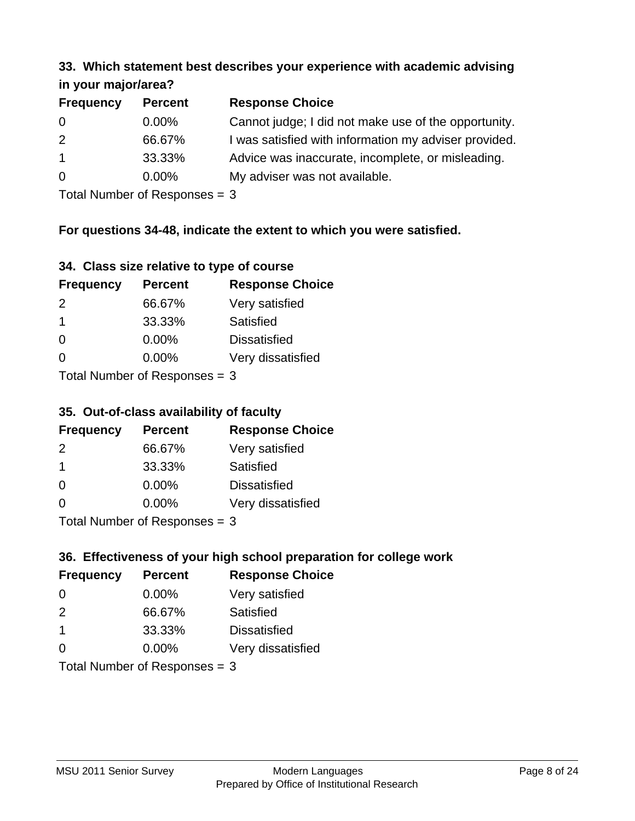#### **33. Which statement best describes your experience with academic advising in your major/area?**

| $\cdots$ your mapping out. |                |                                                       |
|----------------------------|----------------|-------------------------------------------------------|
| <b>Frequency</b>           | <b>Percent</b> | <b>Response Choice</b>                                |
| 0                          | $0.00\%$       | Cannot judge; I did not make use of the opportunity.  |
| 2                          | 66.67%         | I was satisfied with information my adviser provided. |
| $\overline{1}$             | 33.33%         | Advice was inaccurate, incomplete, or misleading.     |
| $\overline{0}$             | $0.00\%$       | My adviser was not available.                         |
|                            |                |                                                       |

Total Number of Responses = 3

### **For questions 34-48, indicate the extent to which you were satisfied.**

| 34. Class size relative to type of course |  |  |  |  |  |  |  |  |
|-------------------------------------------|--|--|--|--|--|--|--|--|
|-------------------------------------------|--|--|--|--|--|--|--|--|

| <b>Frequency</b>               | <b>Percent</b> | <b>Response Choice</b> |  |  |
|--------------------------------|----------------|------------------------|--|--|
| 2                              | 66.67%         | Very satisfied         |  |  |
| -1                             | 33.33%         | Satisfied              |  |  |
| $\Omega$                       | $0.00\%$       | <b>Dissatisfied</b>    |  |  |
| $\Omega$                       | $0.00\%$       | Very dissatisfied      |  |  |
| Total Number of Reconnege $-2$ |                |                        |  |  |

Total Number of Responses = 3

## **35. Out-of-class availability of faculty**

| <b>Frequency</b>          | <b>Percent</b> | <b>Response Choice</b> |  |  |
|---------------------------|----------------|------------------------|--|--|
| $\mathcal{P}$             | 66.67%         | Very satisfied         |  |  |
| $\mathbf 1$               | 33.33%         | Satisfied              |  |  |
| $\Omega$                  | $0.00\%$       | <b>Dissatisfied</b>    |  |  |
| $\Omega$                  | 0.00%          | Very dissatisfied      |  |  |
| Total Number of Deepensee |                |                        |  |  |

Total Number of Responses = 3

## **36. Effectiveness of your high school preparation for college work**

| <b>Frequency</b> | <b>Percent</b>                | <b>Response Choice</b> |
|------------------|-------------------------------|------------------------|
| $\Omega$         | $0.00\%$                      | Very satisfied         |
| $\mathcal{P}$    | 66.67%                        | Satisfied              |
| $\overline{1}$   | 33.33%                        | <b>Dissatisfied</b>    |
| $\Omega$         | 0.00%                         | Very dissatisfied      |
|                  | Total Number of Responses = 3 |                        |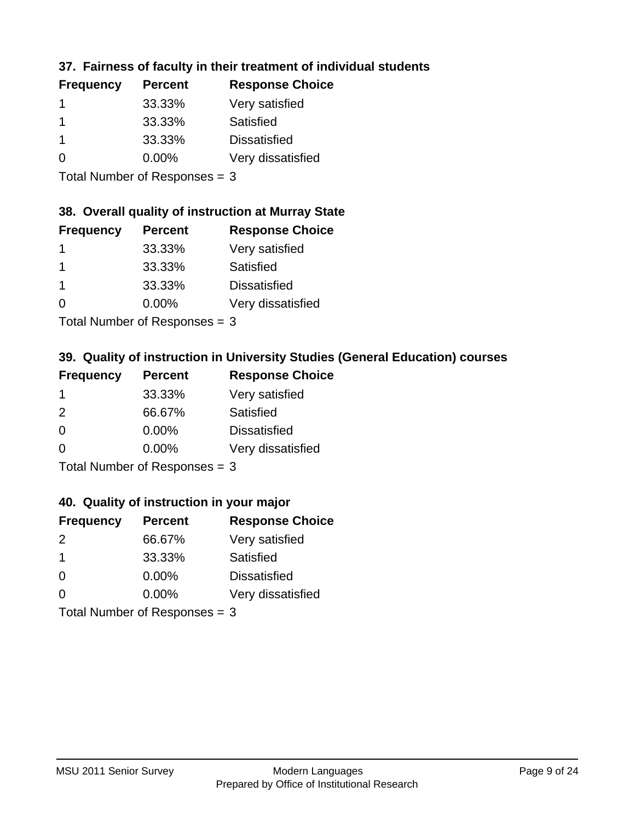## **37. Fairness of faculty in their treatment of individual students**

| <b>Frequency</b> | <b>Percent</b> | <b>Response Choice</b> |
|------------------|----------------|------------------------|
|                  | 33.33%         | Very satisfied         |
|                  | 33.33%         | Satisfied              |
|                  | 33.33%         | <b>Dissatisfied</b>    |
| $\Omega$         | $0.00\%$       | Very dissatisfied      |
|                  |                |                        |

Total Number of Responses = 3

### **38. Overall quality of instruction at Murray State**

| <b>Frequency</b> | <b>Percent</b> | <b>Response Choice</b> |
|------------------|----------------|------------------------|
|                  | 33.33%         | Very satisfied         |
|                  | 33.33%         | Satisfied              |
|                  | 33.33%         | <b>Dissatisfied</b>    |
| $\Omega$         | 0.00%          | Very dissatisfied      |
|                  |                |                        |

Total Number of Responses  $= 3$ 

## **39. Quality of instruction in University Studies (General Education) courses**

| <b>Frequency</b> | <b>Percent</b>              | <b>Response Choice</b> |
|------------------|-----------------------------|------------------------|
|                  | 33.33%                      | Very satisfied         |
| 2                | 66.67%                      | Satisfied              |
| $\Omega$         | 0.00%                       | <b>Dissatisfied</b>    |
| $\Omega$         | 0.00%                       | Very dissatisfied      |
|                  | Tatal Manuala and Dannanana |                        |

Total Number of Responses = 3

### **40. Quality of instruction in your major**

| <b>Frequency</b> | <b>Percent</b>            | <b>Response Choice</b> |
|------------------|---------------------------|------------------------|
| $\mathcal{P}$    | 66.67%                    | Very satisfied         |
| -1               | 33.33%                    | Satisfied              |
| $\Omega$         | $0.00\%$                  | <b>Dissatisfied</b>    |
| $\Omega$         | 0.00%                     | Very dissatisfied      |
|                  | Total Number of Deepersee |                        |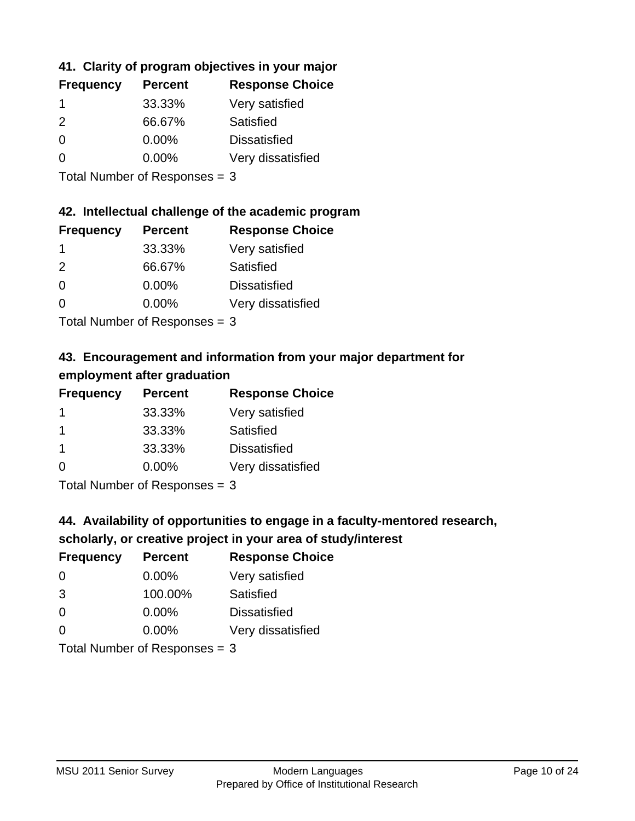## **41. Clarity of program objectives in your major**

| <b>Frequency</b> | <b>Percent</b> | <b>Response Choice</b> |
|------------------|----------------|------------------------|
|                  | 33.33%         | Very satisfied         |
| $\mathcal{P}$    | 66.67%         | Satisfied              |
| $\Omega$         | $0.00\%$       | <b>Dissatisfied</b>    |
| n                | $0.00\%$       | Very dissatisfied      |
|                  |                |                        |

Total Number of Responses = 3

### **42. Intellectual challenge of the academic program**

| <b>Frequency</b> | <b>Percent</b> | <b>Response Choice</b> |
|------------------|----------------|------------------------|
|                  | 33.33%         | Very satisfied         |
| $\mathcal{P}$    | 66.67%         | Satisfied              |
| $\Omega$         | 0.00%          | <b>Dissatisfied</b>    |
| $\Omega$         | 0.00%          | Very dissatisfied      |
|                  |                |                        |

Total Number of Responses = 3

## **43. Encouragement and information from your major department for employment after graduation**

| <b>Frequency</b> | <b>Percent</b> | <b>Response Choice</b> |
|------------------|----------------|------------------------|
| -1               | 33.33%         | Very satisfied         |
| $\mathbf 1$      | 33.33%         | Satisfied              |
| $\mathbf 1$      | 33.33%         | <b>Dissatisfied</b>    |
| $\Omega$         | $0.00\%$       | Very dissatisfied      |
|                  |                |                        |

Total Number of Responses = 3

## **44. Availability of opportunities to engage in a faculty-mentored research,**

## **scholarly, or creative project in your area of study/interest**

| <b>Frequency</b> | <b>Percent</b> | <b>Response Choice</b> |
|------------------|----------------|------------------------|
| $\Omega$         | 0.00%          | Very satisfied         |
| 3                | 100.00%        | Satisfied              |
| $\Omega$         | 0.00%          | <b>Dissatisfied</b>    |
| $\Omega$         | 0.00%          | Very dissatisfied      |
|                  |                |                        |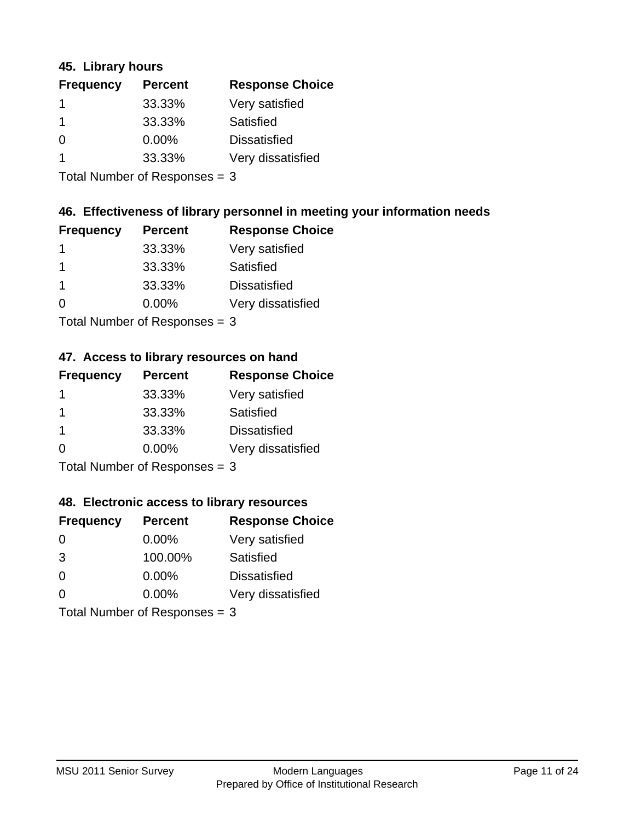### **45. Library hours**

| <b>Frequency</b> | <b>Percent</b> | <b>Response Choice</b> |
|------------------|----------------|------------------------|
|                  | 33.33%         | Very satisfied         |
|                  | 33.33%         | Satisfied              |
| $\Omega$         | 0.00%          | <b>Dissatisfied</b>    |
|                  | 33.33%         | Very dissatisfied      |
|                  |                |                        |

Total Number of Responses = 3

## **46. Effectiveness of library personnel in meeting your information needs**

| <b>Frequency</b> | <b>Percent</b> | <b>Response Choice</b> |
|------------------|----------------|------------------------|
|                  | 33.33%         | Very satisfied         |
|                  | 33.33%         | Satisfied              |
|                  | 33.33%         | <b>Dissatisfied</b>    |
| ∩                | $0.00\%$       | Very dissatisfied      |
|                  |                |                        |

Total Number of Responses = 3

## **47. Access to library resources on hand**

| <b>Frequency</b>                                  | <b>Percent</b> | <b>Response Choice</b> |
|---------------------------------------------------|----------------|------------------------|
|                                                   | 33.33%         | Very satisfied         |
|                                                   | 33.33%         | Satisfied              |
| -1                                                | 33.33%         | <b>Dissatisfied</b>    |
| ∩                                                 | 0.00%          | Very dissatisfied      |
| $T$ at all Matters because of $D$ are a second on |                |                        |

Total Number of Responses = 3

### **48. Electronic access to library resources**

| <b>Frequency</b>              | <b>Percent</b> | <b>Response Choice</b> |
|-------------------------------|----------------|------------------------|
| $\Omega$                      | 0.00%          | Very satisfied         |
| 3                             | 100.00%        | Satisfied              |
| $\Omega$                      | $0.00\%$       | <b>Dissatisfied</b>    |
| $\Omega$                      | $0.00\%$       | Very dissatisfied      |
| Total Number of Responses = 3 |                |                        |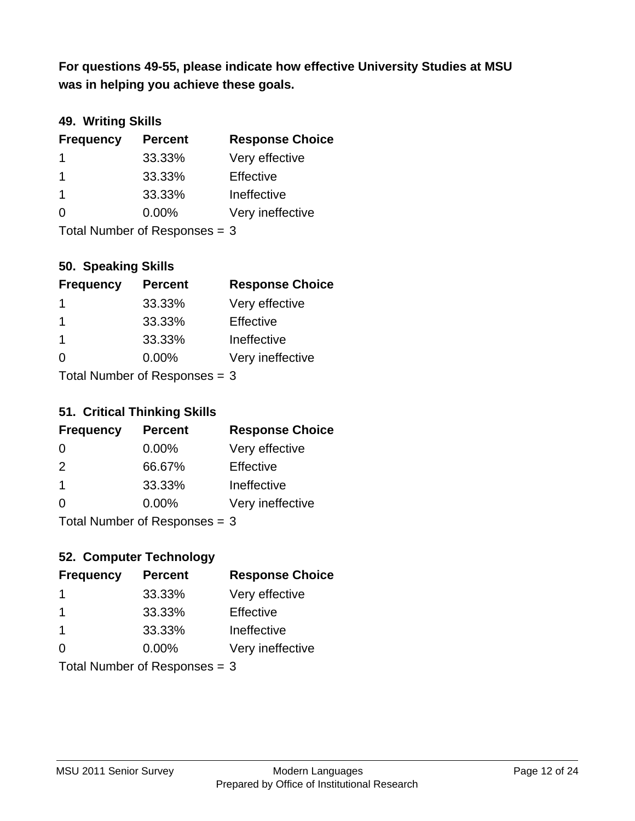**was in helping you achieve these goals. For questions 49-55, please indicate how effective University Studies at MSU** 

## **49. Writing Skills**

| <b>Frequency</b>              | <b>Percent</b> | <b>Response Choice</b> |
|-------------------------------|----------------|------------------------|
|                               | 33.33%         | Very effective         |
| -1                            | 33.33%         | Effective              |
| -1                            | 33.33%         | Ineffective            |
| $\Omega$                      | $0.00\%$       | Very ineffective       |
| Total Number of Responses = 3 |                |                        |

### **50. Speaking Skills**

| <b>Frequency</b>          | <b>Percent</b> | <b>Response Choice</b> |
|---------------------------|----------------|------------------------|
| -1                        | 33.33%         | Very effective         |
| -1                        | 33.33%         | Effective              |
| $\overline{1}$            | 33.33%         | Ineffective            |
| $\Omega$                  | 0.00%          | Very ineffective       |
| Total Number of Desponses |                |                        |

Total Number of Responses = 3

## **51. Critical Thinking Skills**

| <b>Frequency</b>        | <b>Percent</b>            | <b>Response Choice</b> |
|-------------------------|---------------------------|------------------------|
| $\Omega$                | $0.00\%$                  | Very effective         |
| $\mathcal{P}$           | 66.67%                    | Effective              |
| $\overline{\mathbf{1}}$ | 33.33%                    | Ineffective            |
| $\Omega$                | 0.00%                     | Very ineffective       |
|                         | Total Number of Deepensee |                        |

Total Number of Responses = 3

## **52. Computer Technology**

| <b>Frequency</b>                | <b>Percent</b> | <b>Response Choice</b> |
|---------------------------------|----------------|------------------------|
| -1                              | 33.33%         | Very effective         |
| -1                              | 33.33%         | Effective              |
| $\overline{\mathbf{1}}$         | 33.33%         | Ineffective            |
| $\Omega$                        | $0.00\%$       | Very ineffective       |
| Total Number of Responses = $3$ |                |                        |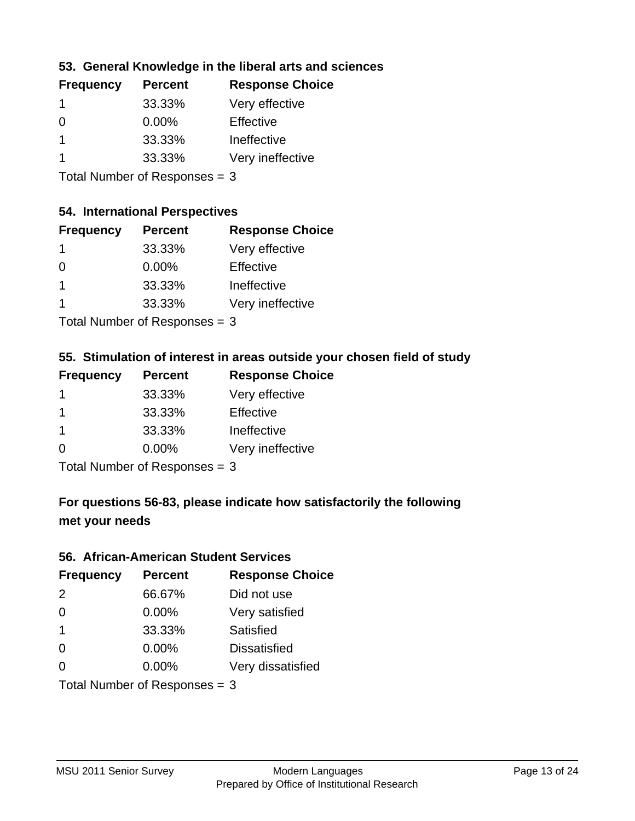### **53. General Knowledge in the liberal arts and sciences**

| <b>Frequency</b> | <b>Percent</b> | <b>Response Choice</b> |
|------------------|----------------|------------------------|
|                  | 33.33%         | Very effective         |
| $\Omega$         | $0.00\%$       | Effective              |
|                  | 33.33%         | Ineffective            |
|                  | 33.33%         | Very ineffective       |
|                  |                |                        |

Total Number of Responses = 3

#### **54. International Perspectives**

| <b>Frequency</b> | <b>Percent</b> | <b>Response Choice</b> |
|------------------|----------------|------------------------|
| 1                | 33.33%         | Very effective         |
| $\Omega$         | 0.00%          | Effective              |
| 1                | 33.33%         | Ineffective            |
| 1                | 33.33%         | Very ineffective       |
|                  |                |                        |

Total Number of Responses = 3

## **55. Stimulation of interest in areas outside your chosen field of study**

| <b>Frequency</b> | <b>Percent</b>             | <b>Response Choice</b> |
|------------------|----------------------------|------------------------|
|                  | 33.33%                     | Very effective         |
|                  | 33.33%                     | Effective              |
| -1               | 33.33%                     | Ineffective            |
| $\Omega$         | 0.00%                      | Very ineffective       |
|                  | Tetal Number of Desperance |                        |

Total Number of Responses = 3

## **For questions 56-83, please indicate how satisfactorily the following met your needs**

#### **56. African-American Student Services**

| <b>Frequency</b> | <b>Percent</b>                  | <b>Response Choice</b> |
|------------------|---------------------------------|------------------------|
| 2                | 66.67%                          | Did not use            |
| $\Omega$         | 0.00%                           | Very satisfied         |
| $\overline{1}$   | 33.33%                          | <b>Satisfied</b>       |
| $\Omega$         | $0.00\%$                        | <b>Dissatisfied</b>    |
| $\Omega$         | 0.00%                           | Very dissatisfied      |
|                  | Total Number of Responses = $3$ |                        |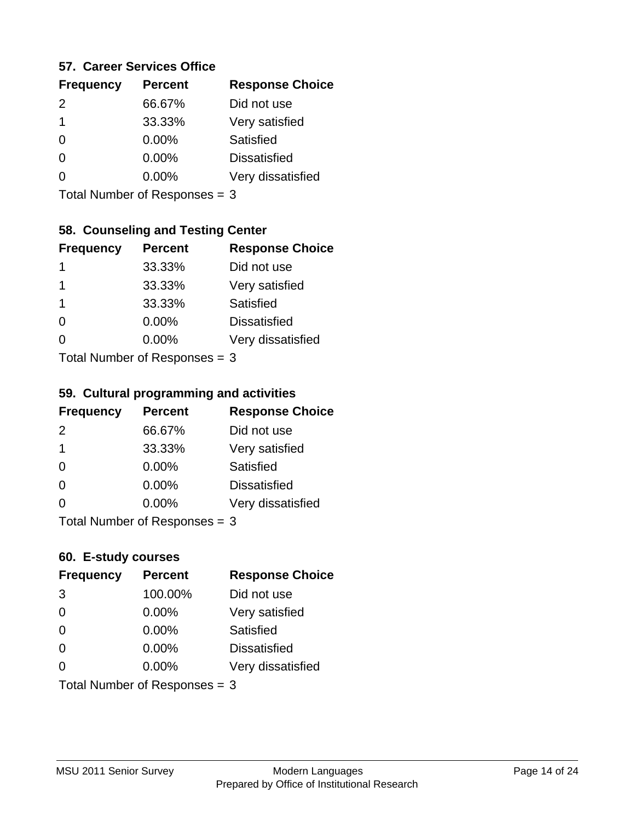#### **57. Career Services Office**

| <b>Frequency</b> | <b>Percent</b> | <b>Response Choice</b> |
|------------------|----------------|------------------------|
| $\mathcal{P}$    | 66.67%         | Did not use            |
| 1                | 33.33%         | Very satisfied         |
| 0                | $0.00\%$       | Satisfied              |
| O                | 0.00%          | <b>Dissatisfied</b>    |
|                  | $0.00\%$       | Very dissatisfied      |
|                  |                |                        |

Total Number of Responses = 3

## **58. Counseling and Testing Center**

| <b>Frequency</b>          | <b>Percent</b> | <b>Response Choice</b> |
|---------------------------|----------------|------------------------|
| 1                         | 33.33%         | Did not use            |
| 1                         | 33.33%         | Very satisfied         |
| 1                         | 33.33%         | <b>Satisfied</b>       |
| 0                         | 0.00%          | <b>Dissatisfied</b>    |
| $\Omega$                  | $0.00\%$       | Very dissatisfied      |
| Total Number of Desponses |                |                        |

Total Number of Responses = 3

#### **59. Cultural programming and activities**

| <b>Frequency</b> | <b>Percent</b>            | <b>Response Choice</b> |
|------------------|---------------------------|------------------------|
| $\mathcal{P}$    | 66.67%                    | Did not use            |
| $\mathbf 1$      | 33.33%                    | Very satisfied         |
| $\Omega$         | $0.00\%$                  | <b>Satisfied</b>       |
| $\Omega$         | $0.00\%$                  | <b>Dissatisfied</b>    |
| $\Omega$         | $0.00\%$                  | Very dissatisfied      |
|                  | Total Number of Deepersee |                        |

Total Number of Responses = 3

### **60. E-study courses**

| <b>Frequency</b> | <b>Percent</b>                  | <b>Response Choice</b> |
|------------------|---------------------------------|------------------------|
| 3                | 100.00%                         | Did not use            |
| $\Omega$         | 0.00%                           | Very satisfied         |
| $\Omega$         | 0.00%                           | Satisfied              |
| $\Omega$         | $0.00\%$                        | <b>Dissatisfied</b>    |
| $\Omega$         | 0.00%                           | Very dissatisfied      |
|                  | Total Number of Responses = $3$ |                        |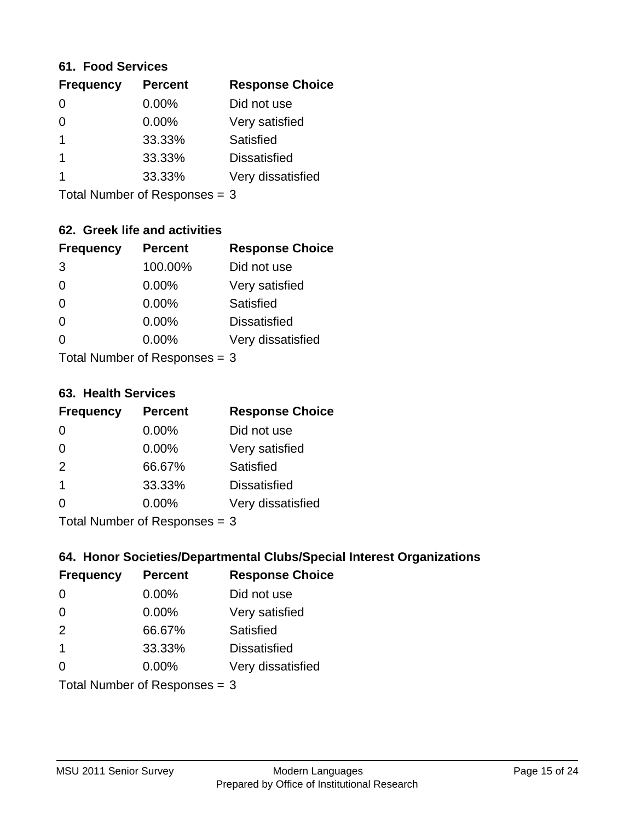#### **61. Food Services**

| <b>Frequency</b> | <b>Percent</b> | <b>Response Choice</b> |
|------------------|----------------|------------------------|
| 0                | 0.00%          | Did not use            |
| 0                | 0.00%          | Very satisfied         |
|                  | 33.33%         | Satisfied              |
|                  | 33.33%         | <b>Dissatisfied</b>    |
|                  | 33.33%         | Very dissatisfied      |
|                  |                |                        |

Total Number of Responses = 3

### **62. Greek life and activities**

| <b>Frequency</b> | <b>Percent</b>                  | <b>Response Choice</b> |
|------------------|---------------------------------|------------------------|
| 3                | 100.00%                         | Did not use            |
| 0                | 0.00%                           | Very satisfied         |
| $\Omega$         | 0.00%                           | Satisfied              |
| $\Omega$         | 0.00%                           | <b>Dissatisfied</b>    |
| O                | $0.00\%$                        | Very dissatisfied      |
|                  | Total Number of Responses $=$ 3 |                        |

**63. Health Services**

| <b>Frequency</b> | <b>Percent</b>            | <b>Response Choice</b> |
|------------------|---------------------------|------------------------|
| 0                | $0.00\%$                  | Did not use            |
| $\Omega$         | $0.00\%$                  | Very satisfied         |
| 2                | 66.67%                    | Satisfied              |
| $\mathbf 1$      | 33.33%                    | <b>Dissatisfied</b>    |
| $\Omega$         | 0.00%                     | Very dissatisfied      |
|                  | Total Number of Deepersee |                        |

Total Number of Responses = 3

### **64. Honor Societies/Departmental Clubs/Special Interest Organizations**

| <b>Frequency</b>        | <b>Percent</b>                | <b>Response Choice</b> |
|-------------------------|-------------------------------|------------------------|
| $\Omega$                | 0.00%                         | Did not use            |
| $\Omega$                | 0.00%                         | Very satisfied         |
| 2                       | 66.67%                        | Satisfied              |
| $\overline{\mathbf{1}}$ | 33.33%                        | <b>Dissatisfied</b>    |
| $\Omega$                | 0.00%                         | Very dissatisfied      |
|                         | Total Number of Responses = 3 |                        |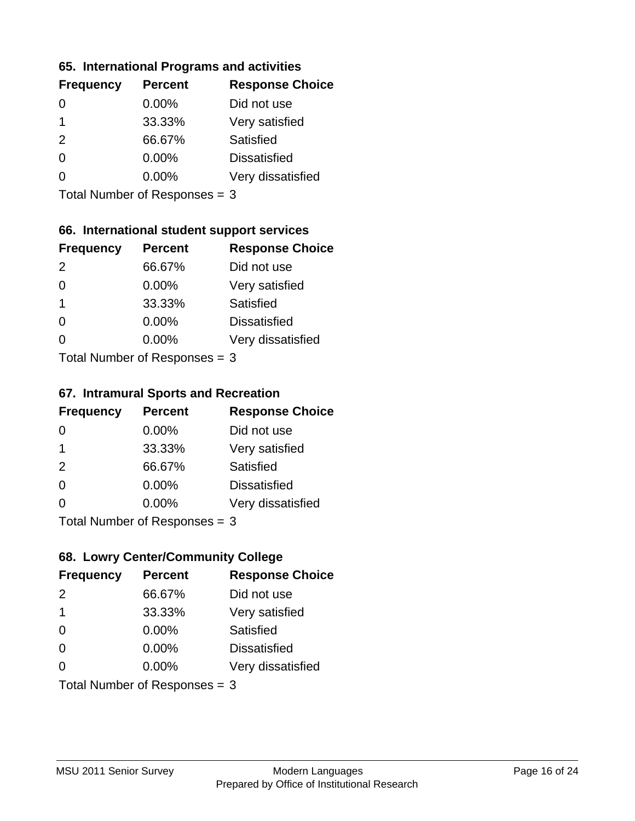### **65. International Programs and activities**

| <b>Frequency</b> | <b>Percent</b> | <b>Response Choice</b> |
|------------------|----------------|------------------------|
| 0                | 0.00%          | Did not use            |
| 1                | 33.33%         | Very satisfied         |
| 2                | 66.67%         | Satisfied              |
| 0                | $0.00\%$       | <b>Dissatisfied</b>    |
|                  | $0.00\%$       | Very dissatisfied      |
|                  |                |                        |

Total Number of Responses = 3

### **66. International student support services**

| <b>Frequency</b> | <b>Percent</b>            | <b>Response Choice</b> |
|------------------|---------------------------|------------------------|
| 2                | 66.67%                    | Did not use            |
| $\Omega$         | 0.00%                     | Very satisfied         |
| 1                | 33.33%                    | Satisfied              |
| $\Omega$         | 0.00%                     | <b>Dissatisfied</b>    |
| 0                | 0.00%                     | Very dissatisfied      |
|                  | Total Number of DoEROR 0. |                        |

Total Number of Responses = 3

#### **67. Intramural Sports and Recreation**

| <b>Frequency</b> | <b>Percent</b>                | <b>Response Choice</b> |
|------------------|-------------------------------|------------------------|
| 0                | $0.00\%$                      | Did not use            |
| $\mathbf 1$      | 33.33%                        | Very satisfied         |
| 2                | 66.67%                        | Satisfied              |
| $\Omega$         | $0.00\%$                      | <b>Dissatisfied</b>    |
| $\Omega$         | $0.00\%$                      | Very dissatisfied      |
|                  | $Total Number of Denonce = 2$ |                        |

Total Number of Responses = 3

## **68. Lowry Center/Community College**

| <b>Frequency</b> | <b>Percent</b>                | <b>Response Choice</b> |
|------------------|-------------------------------|------------------------|
| 2                | 66.67%                        | Did not use            |
| 1                | 33.33%                        | Very satisfied         |
| $\Omega$         | 0.00%                         | Satisfied              |
| $\Omega$         | 0.00%                         | <b>Dissatisfied</b>    |
| 0                | $0.00\%$                      | Very dissatisfied      |
|                  | Total Number of Responses = 3 |                        |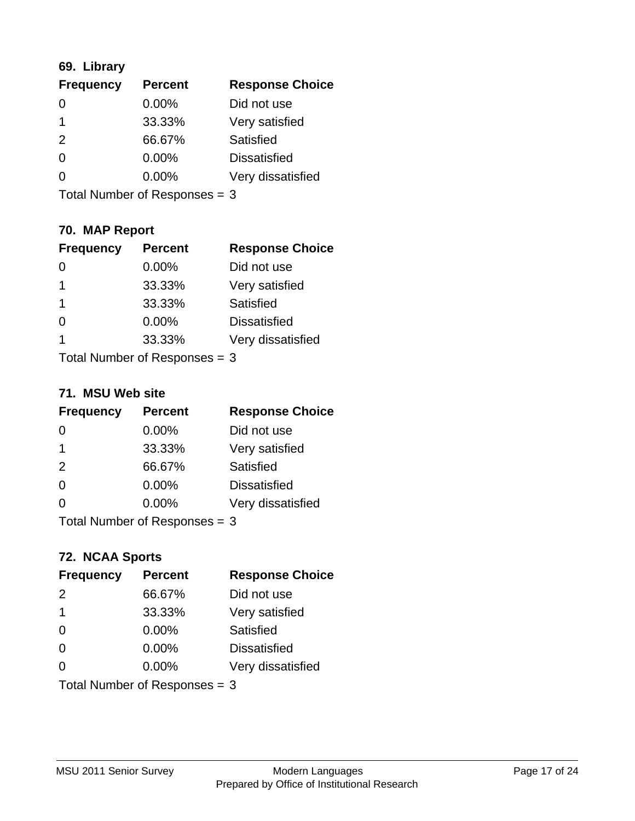## **69. Library**

| <b>Frequency</b> | <b>Percent</b> | <b>Response Choice</b> |
|------------------|----------------|------------------------|
| 0                | 0.00%          | Did not use            |
|                  | 33.33%         | Very satisfied         |
| $\mathcal{P}$    | 66.67%         | Satisfied              |
| $\Omega$         | $0.00\%$       | <b>Dissatisfied</b>    |
| O                | $0.00\%$       | Very dissatisfied      |
|                  |                |                        |

Total Number of Responses = 3

## **70. MAP Report**

| <b>Frequency</b> | <b>Percent</b>                  | <b>Response Choice</b> |
|------------------|---------------------------------|------------------------|
|                  | 0.00%                           | Did not use            |
| 1                | 33.33%                          | Very satisfied         |
| $\mathbf{1}$     | 33.33%                          | Satisfied              |
| $\Omega$         | 0.00%                           | <b>Dissatisfied</b>    |
| 1                | 33.33%                          | Very dissatisfied      |
|                  | Total Number of Responses $=$ 3 |                        |

#### **71. MSU Web site**

| <b>Frequency</b> | <b>Percent</b>                | <b>Response Choice</b> |
|------------------|-------------------------------|------------------------|
| $\Omega$         | $0.00\%$                      | Did not use            |
| -1               | 33.33%                        | Very satisfied         |
| 2                | 66.67%                        | Satisfied              |
| $\Omega$         | 0.00%                         | <b>Dissatisfied</b>    |
| ∩                | $0.00\%$                      | Very dissatisfied      |
|                  | Total Number of Responses = 3 |                        |

### **72. NCAA Sports**

| <b>Frequency</b> | <b>Percent</b>                  | <b>Response Choice</b> |
|------------------|---------------------------------|------------------------|
| 2                | 66.67%                          | Did not use            |
| $\mathbf 1$      | 33.33%                          | Very satisfied         |
| $\Omega$         | 0.00%                           | Satisfied              |
| $\Omega$         | 0.00%                           | <b>Dissatisfied</b>    |
| $\Omega$         | 0.00%                           | Very dissatisfied      |
|                  | Total Number of Responses = $3$ |                        |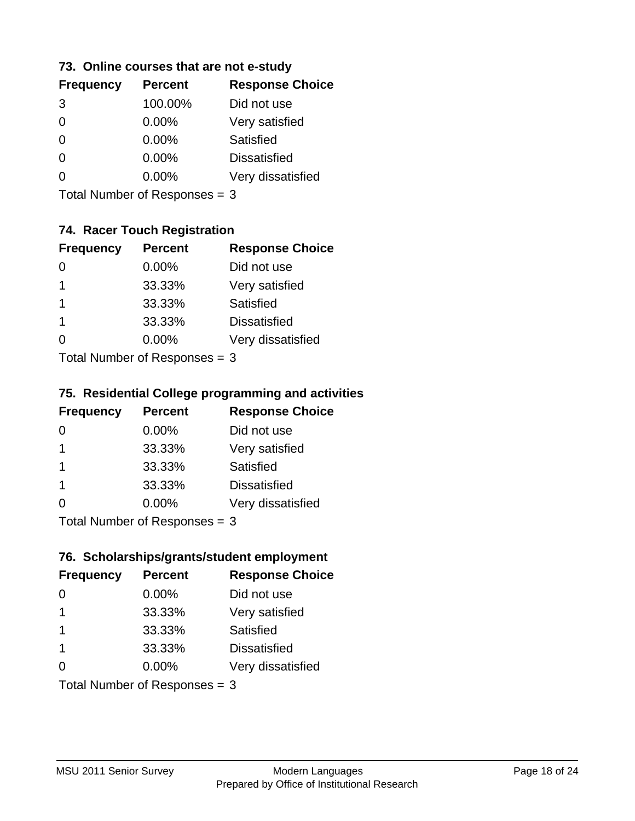### **73. Online courses that are not e-study**

| <b>Frequency</b> | <b>Percent</b> | <b>Response Choice</b> |
|------------------|----------------|------------------------|
| 3                | 100.00%        | Did not use            |
|                  | 0.00%          | Very satisfied         |
|                  | $0.00\%$       | Satisfied              |
|                  | $0.00\%$       | <b>Dissatisfied</b>    |
|                  | $0.00\%$       | Very dissatisfied      |
|                  |                |                        |

Total Number of Responses = 3

## **74. Racer Touch Registration**

| <b>Frequency</b>          | <b>Percent</b> | <b>Response Choice</b> |
|---------------------------|----------------|------------------------|
| 0                         | 0.00%          | Did not use            |
| 1                         | 33.33%         | Very satisfied         |
| 1                         | 33.33%         | <b>Satisfied</b>       |
| 1                         | 33.33%         | <b>Dissatisfied</b>    |
| ∩                         | 0.00%          | Very dissatisfied      |
| Total Number of Desponses |                |                        |

Total Number of Responses = 3

### **75. Residential College programming and activities**

| <b>Frequency</b>          | <b>Percent</b> | <b>Response Choice</b> |
|---------------------------|----------------|------------------------|
| 0                         | $0.00\%$       | Did not use            |
| -1                        | 33.33%         | Very satisfied         |
| -1                        | 33.33%         | Satisfied              |
| -1                        | 33.33%         | <b>Dissatisfied</b>    |
| $\Omega$                  | 0.00%          | Very dissatisfied      |
| Total Number of Desponses |                |                        |

Total Number of Responses = 3

### **76. Scholarships/grants/student employment**

| <b>Frequency</b>        | <b>Percent</b>                | <b>Response Choice</b> |
|-------------------------|-------------------------------|------------------------|
| 0                       | 0.00%                         | Did not use            |
| -1                      | 33.33%                        | Very satisfied         |
| $\mathbf 1$             | 33.33%                        | Satisfied              |
| $\overline{\mathbf{1}}$ | 33.33%                        | <b>Dissatisfied</b>    |
| $\Omega$                | $0.00\%$                      | Very dissatisfied      |
|                         | Total Number of Responses = 3 |                        |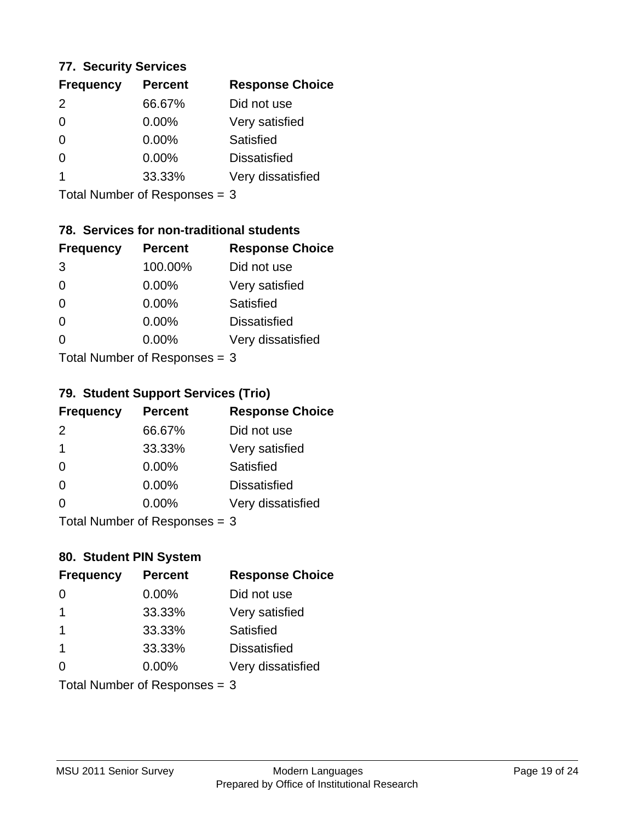### **77. Security Services**

| <b>Frequency</b> | <b>Percent</b> | <b>Response Choice</b> |
|------------------|----------------|------------------------|
| $\mathcal{P}$    | 66.67%         | Did not use            |
| $\Omega$         | 0.00%          | Very satisfied         |
| $\Omega$         | $0.00\%$       | Satisfied              |
| 0                | $0.00\%$       | <b>Dissatisfied</b>    |
|                  | 33.33%         | Very dissatisfied      |
|                  |                |                        |

Total Number of Responses = 3

### **78. Services for non-traditional students**

| <b>Frequency</b>          | <b>Percent</b> | <b>Response Choice</b> |
|---------------------------|----------------|------------------------|
| 3                         | 100.00%        | Did not use            |
| $\Omega$                  | 0.00%          | Very satisfied         |
| $\Omega$                  | 0.00%          | Satisfied              |
| $\Omega$                  | 0.00%          | <b>Dissatisfied</b>    |
| 0                         | $0.00\%$       | Very dissatisfied      |
| Total Number of DoEROR 0. |                |                        |

Total Number of Responses = 3

### **79. Student Support Services (Trio)**

| <b>Frequency</b>          | <b>Percent</b> | <b>Response Choice</b> |
|---------------------------|----------------|------------------------|
| $\mathcal{P}$             | 66.67%         | Did not use            |
| $\overline{1}$            | 33.33%         | Very satisfied         |
| $\Omega$                  | $0.00\%$       | Satisfied              |
| $\Omega$                  | $0.00\%$       | <b>Dissatisfied</b>    |
| ∩                         | 0.00%          | Very dissatisfied      |
| Total Number of Desponses |                |                        |

Total Number of Responses = 3

### **80. Student PIN System**

| <b>Frequency</b>        | <b>Percent</b>                | <b>Response Choice</b> |
|-------------------------|-------------------------------|------------------------|
| 0                       | 0.00%                         | Did not use            |
| 1                       | 33.33%                        | Very satisfied         |
| $\overline{1}$          | 33.33%                        | Satisfied              |
| $\overline{\mathbf{1}}$ | 33.33%                        | <b>Dissatisfied</b>    |
| $\Omega$                | $0.00\%$                      | Very dissatisfied      |
|                         | Total Number of Responses = 3 |                        |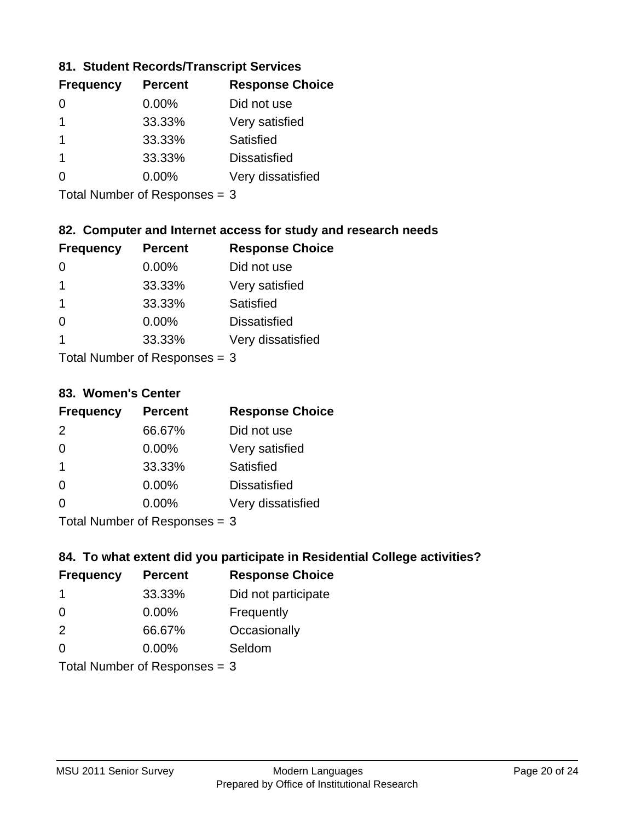### **81. Student Records/Transcript Services**

| <b>Percent</b> | <b>Response Choice</b> |
|----------------|------------------------|
| $0.00\%$       | Did not use            |
| 33.33%         | Very satisfied         |
| 33.33%         | Satisfied              |
| 33.33%         | <b>Dissatisfied</b>    |
| $0.00\%$       | Very dissatisfied      |
|                |                        |

Total Number of Responses = 3

### **82. Computer and Internet access for study and research needs**

| <b>Frequency</b> | <b>Percent</b>             | <b>Response Choice</b> |
|------------------|----------------------------|------------------------|
|                  | 0.00%                      | Did not use            |
| 1                | 33.33%                     | Very satisfied         |
| 1                | 33.33%                     | <b>Satisfied</b>       |
| 0                | 0.00%                      | <b>Dissatisfied</b>    |
| 1                | 33.33%                     | Very dissatisfied      |
|                  | Tatal Number of Desperance |                        |

Total Number of Responses = 3

#### **83. Women's Center**

| <b>Frequency</b>           | <b>Percent</b> | <b>Response Choice</b> |
|----------------------------|----------------|------------------------|
| $\mathcal{P}$              | 66.67%         | Did not use            |
| $\Omega$                   | $0.00\%$       | Very satisfied         |
| -1                         | 33.33%         | <b>Satisfied</b>       |
| $\Omega$                   | $0.00\%$       | <b>Dissatisfied</b>    |
| $\Omega$                   | $0.00\%$       | Very dissatisfied      |
| Total Number of Deepersoon |                |                        |

Total Number of Responses = 3

### **84. To what extent did you participate in Residential College activities?**

| <b>Frequency</b> | <b>Percent</b>                  | <b>Response Choice</b> |
|------------------|---------------------------------|------------------------|
| -1               | 33.33%                          | Did not participate    |
| $\Omega$         | $0.00\%$                        | Frequently             |
| 2                | 66.67%                          | Occasionally           |
| ∩                | 0.00%                           | Seldom                 |
|                  | Total Number of Responses = $3$ |                        |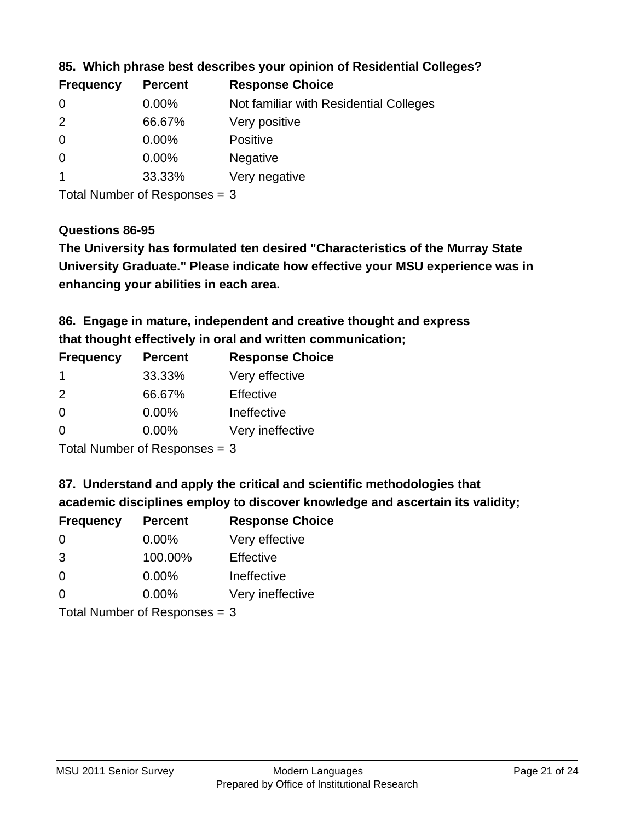| <b>Percent</b> | <b>Response Choice</b>                 |
|----------------|----------------------------------------|
| $0.00\%$       | Not familiar with Residential Colleges |
| 66.67%         | Very positive                          |
| $0.00\%$       | <b>Positive</b>                        |
| $0.00\%$       | <b>Negative</b>                        |
| 33.33%         | Very negative                          |
|                |                                        |

**85. Which phrase best describes your opinion of Residential Colleges?**

Total Number of Responses = 3

### **Questions 86-95**

**University Graduate." Please indicate how effective your MSU experience was in The University has formulated ten desired "Characteristics of the Murray State enhancing your abilities in each area.**

**86. Engage in mature, independent and creative thought and express that thought effectively in oral and written communication;**

| <b>Percent</b> | <b>Response Choice</b> |
|----------------|------------------------|
| 33.33%         | Very effective         |
| 66.67%         | Effective              |
| 0.00%          | Ineffective            |
| $0.00\%$       | Very ineffective       |
|                |                        |

Total Number of Responses = 3

**87. Understand and apply the critical and scientific methodologies that** 

**academic disciplines employ to discover knowledge and ascertain its validity;**

| <b>Frequency</b>           | <b>Percent</b> | <b>Response Choice</b> |
|----------------------------|----------------|------------------------|
| $\Omega$                   | $0.00\%$       | Very effective         |
| 3                          | 100.00%        | Effective              |
| $\Omega$                   | 0.00%          | Ineffective            |
| $\Omega$                   | 0.00%          | Very ineffective       |
| Tatal Number of Desperance |                |                        |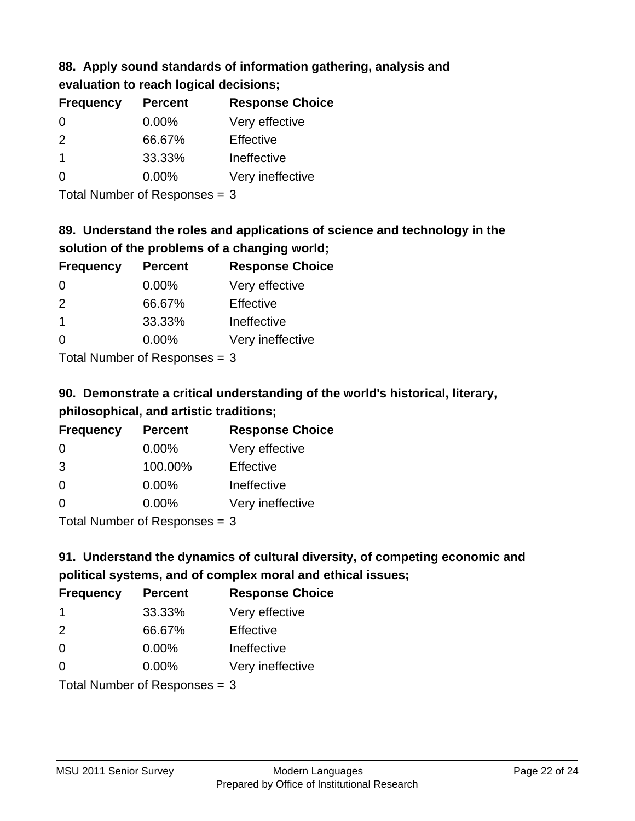## **88. Apply sound standards of information gathering, analysis and evaluation to reach logical decisions;**

| <b>Frequency</b>        | <b>Percent</b> | <b>Response Choice</b> |
|-------------------------|----------------|------------------------|
| $\Omega$                | $0.00\%$       | Very effective         |
| $\mathcal{P}$           | 66.67%         | Effective              |
| $\overline{\mathbf{1}}$ | 33.33%         | Ineffective            |
| $\Omega$                | $0.00\%$       | Very ineffective       |
|                         |                |                        |

Total Number of Responses = 3

## **89. Understand the roles and applications of science and technology in the solution of the problems of a changing world;**

| <b>Frequency</b>                         | <b>Percent</b> | <b>Response Choice</b> |
|------------------------------------------|----------------|------------------------|
| $\Omega$                                 | $0.00\%$       | Very effective         |
| $\mathcal{P}$                            | 66.67%         | Effective              |
| $\overline{\mathbf{1}}$                  | 33.33%         | Ineffective            |
| $\Omega$                                 | 0.00%          | Very ineffective       |
| $T$ at all Message and $D$ are a serious |                |                        |

Total Number of Responses = 3

# **90. Demonstrate a critical understanding of the world's historical, literary, philosophical, and artistic traditions;**

| <b>Frequency</b>           | <b>Percent</b> | <b>Response Choice</b> |
|----------------------------|----------------|------------------------|
| $\Omega$                   | $0.00\%$       | Very effective         |
| 3                          | 100.00%        | Effective              |
| $\Omega$                   | $0.00\%$       | Ineffective            |
| $\Omega$                   | 0.00%          | Very ineffective       |
| Tetal Number of Desperance |                |                        |

Total Number of Responses = 3

# **91. Understand the dynamics of cultural diversity, of competing economic and political systems, and of complex moral and ethical issues;**

| <b>Frequency</b>                | <b>Percent</b> | <b>Response Choice</b> |
|---------------------------------|----------------|------------------------|
| -1                              | 33.33%         | Very effective         |
| 2                               | 66.67%         | Effective              |
| $\Omega$                        | 0.00%          | Ineffective            |
| $\Omega$                        | $0.00\%$       | Very ineffective       |
| Total Number of Responses = $3$ |                |                        |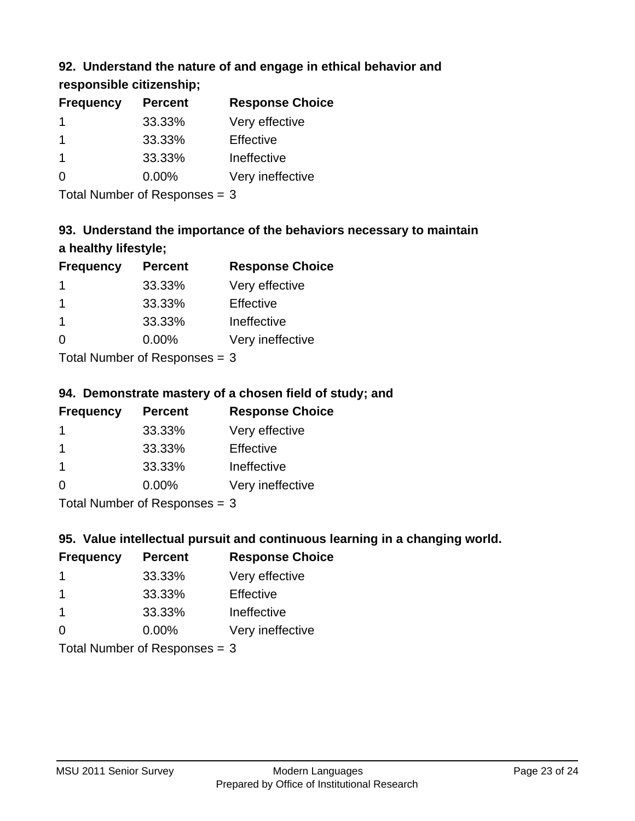## **92. Understand the nature of and engage in ethical behavior and**

**responsible citizenship;**

| <b>Percent</b> | <b>Response Choice</b> |
|----------------|------------------------|
| 33.33%         | Very effective         |
| 33.33%         | Effective              |
| 33.33%         | Ineffective            |
| $0.00\%$       | Very ineffective       |
|                |                        |

Total Number of Responses = 3

# **93. Understand the importance of the behaviors necessary to maintain a healthy lifestyle;**

| <b>Frequency</b> | <b>Percent</b>            | <b>Response Choice</b> |
|------------------|---------------------------|------------------------|
|                  | 33.33%                    | Very effective         |
| -1               | 33.33%                    | Effective              |
| -1               | 33.33%                    | Ineffective            |
| $\Omega$         | 0.00%                     | Very ineffective       |
|                  | Total Number of Deepenses |                        |

Total Number of Responses = 3

## **94. Demonstrate mastery of a chosen field of study; and**

| <b>Frequency</b> | <b>Percent</b> | <b>Response Choice</b> |
|------------------|----------------|------------------------|
|                  | 33.33%         | Very effective         |
|                  | 33.33%         | Effective              |
|                  | 33.33%         | Ineffective            |
| 0                | $0.00\%$       | Very ineffective       |
|                  |                |                        |

Total Number of Responses = 3

## **95. Value intellectual pursuit and continuous learning in a changing world.**

| <b>Frequency</b> | <b>Percent</b> | <b>Response Choice</b> |
|------------------|----------------|------------------------|
|                  | 33.33%         | Very effective         |
|                  | 33.33%         | Effective              |
|                  | 33.33%         | Ineffective            |
| ∩                | 0.00%          | Very ineffective       |
|                  |                |                        |